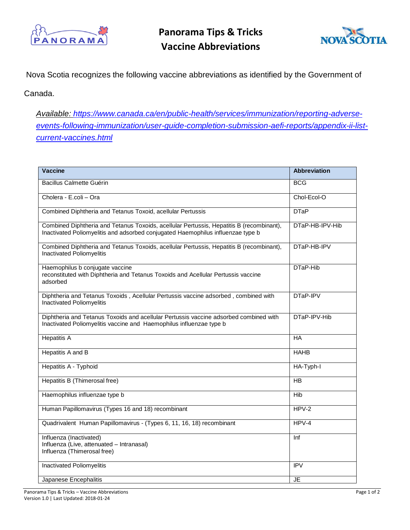

**Panorama Tips & Tricks Vaccine Abbreviations**



Nova Scotia recognizes the following vaccine abbreviations as identified by the Government of

Canada.

*Available: [https://www.canada.ca/en/public-health/services/immunization/reporting-adverse](https://www.canada.ca/en/public-health/services/immunization/reporting-adverse-events-following-immunization/user-guide-completion-submission-aefi-reports/appendix-ii-list-current-vaccines.html)[events-following-immunization/user-guide-completion-submission-aefi-reports/appendix-ii-list](https://www.canada.ca/en/public-health/services/immunization/reporting-adverse-events-following-immunization/user-guide-completion-submission-aefi-reports/appendix-ii-list-current-vaccines.html)[current-vaccines.html](https://www.canada.ca/en/public-health/services/immunization/reporting-adverse-events-following-immunization/user-guide-completion-submission-aefi-reports/appendix-ii-list-current-vaccines.html)*

| <b>Vaccine</b>                                                                                                                                                              | <b>Abbreviation</b> |
|-----------------------------------------------------------------------------------------------------------------------------------------------------------------------------|---------------------|
| <b>Bacillus Calmette Guérin</b>                                                                                                                                             | <b>BCG</b>          |
| Cholera - E.coli - Ora                                                                                                                                                      | Chol-Ecol-O         |
| Combined Diphtheria and Tetanus Toxoid, acellular Pertussis                                                                                                                 | <b>DTaP</b>         |
| Combined Diphtheria and Tetanus Toxoids, acellular Pertussis, Hepatitis B (recombinant),<br>Inactivated Poliomyelitis and adsorbed conjugated Haemophilus influenzae type b | DTaP-HB-IPV-Hib     |
| Combined Diphtheria and Tetanus Toxoids, acellular Pertussis, Hepatitis B (recombinant),<br>Inactivated Poliomyelitis                                                       | DTaP-HB-IPV         |
| Haemophilus b conjugate vaccine<br>reconstituted with Diphtheria and Tetanus Toxoids and Acellular Pertussis vaccine<br>adsorbed                                            | DTaP-Hib            |
| Diphtheria and Tetanus Toxoids, Acellular Pertussis vaccine adsorbed, combined with<br>Inactivated Poliomyelitis                                                            | DTaP-IPV            |
| Diphtheria and Tetanus Toxoids and acellular Pertussis vaccine adsorbed combined with<br>Inactivated Poliomyelitis vaccine and Haemophilus influenzae type b                | DTaP-IPV-Hib        |
| <b>Hepatitis A</b>                                                                                                                                                          | HA                  |
| Hepatitis A and B                                                                                                                                                           | <b>HAHB</b>         |
| Hepatitis A - Typhoid                                                                                                                                                       | HA-Typh-I           |
| Hepatitis B (Thimerosal free)                                                                                                                                               | HB                  |
| Haemophilus influenzae type b                                                                                                                                               | <b>Hib</b>          |
| Human Papillomavirus (Types 16 and 18) recombinant                                                                                                                          | $HPV-2$             |
| Quadrivalent Human Papillomavirus - (Types 6, 11, 16, 18) recombinant                                                                                                       | $HPV-4$             |
| Influenza (Inactivated)<br>Influenza (Live, attenuated - Intranasal)<br>Influenza (Thimerosal free)                                                                         | Inf                 |
| Inactivated Poliomyelitis                                                                                                                                                   | IPV                 |
| Japanese Encephalitis                                                                                                                                                       | JE                  |